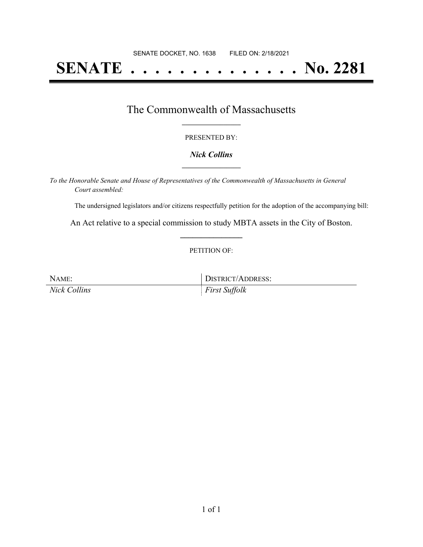# **SENATE . . . . . . . . . . . . . . No. 2281**

### The Commonwealth of Massachusetts **\_\_\_\_\_\_\_\_\_\_\_\_\_\_\_\_\_**

#### PRESENTED BY:

#### *Nick Collins* **\_\_\_\_\_\_\_\_\_\_\_\_\_\_\_\_\_**

*To the Honorable Senate and House of Representatives of the Commonwealth of Massachusetts in General Court assembled:*

The undersigned legislators and/or citizens respectfully petition for the adoption of the accompanying bill:

An Act relative to a special commission to study MBTA assets in the City of Boston. **\_\_\_\_\_\_\_\_\_\_\_\_\_\_\_**

#### PETITION OF:

| NAME:        | DISTRICT/ADDRESS:    |
|--------------|----------------------|
| Nick Collins | <i>First Suffolk</i> |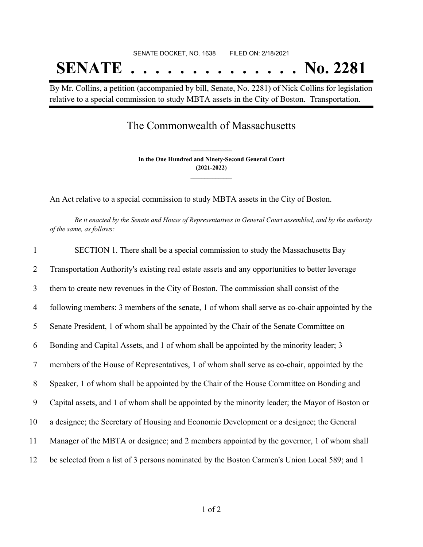# SENATE DOCKET, NO. 1638 FILED ON: 2/18/2021 **SENATE . . . . . . . . . . . . . . No. 2281**

By Mr. Collins, a petition (accompanied by bill, Senate, No. 2281) of Nick Collins for legislation relative to a special commission to study MBTA assets in the City of Boston. Transportation.

## The Commonwealth of Massachusetts

**In the One Hundred and Ninety-Second General Court (2021-2022) \_\_\_\_\_\_\_\_\_\_\_\_\_\_\_**

**\_\_\_\_\_\_\_\_\_\_\_\_\_\_\_**

An Act relative to a special commission to study MBTA assets in the City of Boston.

Be it enacted by the Senate and House of Representatives in General Court assembled, and by the authority *of the same, as follows:*

| $\mathbf{1}$ | SECTION 1. There shall be a special commission to study the Massachusetts Bay                   |
|--------------|-------------------------------------------------------------------------------------------------|
| 2            | Transportation Authority's existing real estate assets and any opportunities to better leverage |
| 3            | them to create new revenues in the City of Boston. The commission shall consist of the          |
| 4            | following members: 3 members of the senate, 1 of whom shall serve as co-chair appointed by the  |
| 5            | Senate President, 1 of whom shall be appointed by the Chair of the Senate Committee on          |
| 6            | Bonding and Capital Assets, and 1 of whom shall be appointed by the minority leader; 3          |
| 7            | members of the House of Representatives, 1 of whom shall serve as co-chair, appointed by the    |
| 8            | Speaker, 1 of whom shall be appointed by the Chair of the House Committee on Bonding and        |
| 9            | Capital assets, and 1 of whom shall be appointed by the minority leader; the Mayor of Boston or |
| 10           | a designee; the Secretary of Housing and Economic Development or a designee; the General        |
| 11           | Manager of the MBTA or designee; and 2 members appointed by the governor, 1 of whom shall       |
| 12           | be selected from a list of 3 persons nominated by the Boston Carmen's Union Local 589; and 1    |